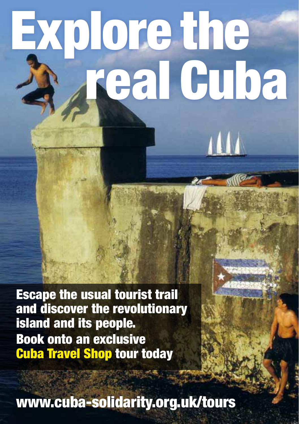# Explore the real Cuba

111

Escape the usual tourist trail and discover the revolutionary island and its people. Book onto an exclusive Cuba Travel Shop tour today

www.cuba-solidarity.org.uk/tours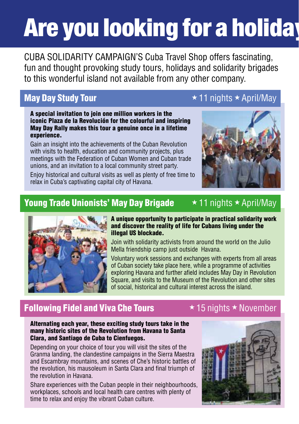## Are you looking for a holiday

Cuba Solidarity Campaign's Cuba Travel Shop offers fascinating, fun and thought provoking study tours, holidays and solidarity brigades to this wonderful island not available from any other company.

## May Day Study Tour  $\star$  11 nights  $\star$  April/May

A special invitation to join one million workers in the iconic Plaza de la Revolución for the colourful and inspiring May Day Rally makes this tour a genuine once in a lifetime experience.

Gain an insight into the achievements of the Cuban Revolution with visits to health, education and community projects, plus meetings with the Federation of Cuban Women and Cuban trade unions, and an invitation to a local community street party.

Enjoy historical and cultural visits as well as plenty of free time to relax in Cuba's captivating capital city of Havana.





## Young Trade Unionists' May Day Brigade  $\star$  11 nights  $\star$  April/May



### A unique opportunity to participate in practical solidarity work and discover the reality of life for Cubans living under the illegal US blockade.

Join with solidarity activists from around the world on the Julio Mella friendship camp just outside Havana.

Voluntary work sessions and exchanges with experts from all areas of Cuban society take place here, while a programme of activities exploring Havana and further afield includes May Day in Revolution Square, and visits to the Museum of the Revolution and other sites of social, historical and cultural interest across the island.

## Following Fidel and Viva Che Tours  $\star$  15 nights  $\star$  November

### Alternating each year, these exciting study tours take in the many historic sites of the Revolution from Havana to Santa Clara, and Santiago de Cuba to Cienfuegos.

Depending on your choice of tour you will visit the sites of the Granma landing, the clandestine campaigns in the Sierra Maestra and Escambray mountains, and scenes of Che's historic battles of the revolution, his mausoleum in Santa Clara and final triumph of the revolution in Havana.

Share experiences with the Cuban people in their neighbourhoods, workplaces, schools and local health care centres with plenty of time to relax and enjoy the vibrant Cuban culture.

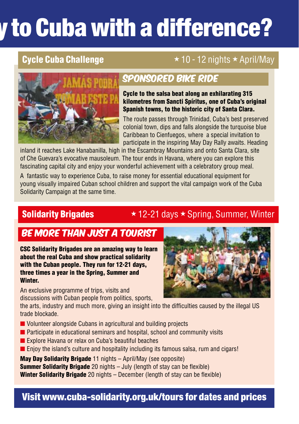## v to Cuba with a difference?

## **Cycle Cuba Challenge**  $\star$  10 - 12 nights  $\star$  April/May



## sponsored bike ride

Cycle to the salsa beat along an exhilarating 315 kilometres from Sancti Spíritus, one of Cuba's original Spanish towns, to the historic city of Santa Clara.

The route passes through Trinidad, Cuba's best preserved colonial town, dips and falls alongside the turquoise blue Caribbean to Cienfuegos, where a special invitation to participate in the inspiring May Day Rally awaits. Heading

inland it reaches Lake Hanabanilla, high in the Escambray Mountains and onto Santa Clara, site of Che Guevara's evocative mausoleum. The tour ends in Havana, where you can explore this fascinating capital city and enjoy your wonderful achievement with a celebratory group meal.

A fantastic way to experience Cuba, to raise money for essential educational equipment for young visually impaired Cuban school children and support the vital campaign work of the Cuba Solidarity Campaign at the same time.

## **Solidarity Brigades**  $\star$  12-21 days  $\star$  Spring, Summer, Winter

## Be more than just a tourist

CSC Solidarity Brigades are an amazing way to learn about the real Cuba and show practical solidarity with the Cuban people. They run for 12-21 days, three times a year in the Spring, Summer and Winter.

An exclusive programme of trips, visits and discussions with Cuban people from politics, sports,

the arts, industry and much more, giving an insight into the difficulties caused by the illegal US trade blockade.

- $\blacksquare$  Volunteer alongside Cubans in agricultural and building projects
- $\blacksquare$  Participate in educational seminars and hospital, school and community visits
- Explore Havana or relax on Cuba's beautiful beaches
- $\blacksquare$  Enjoy the island's culture and hospitality including its famous salsa, rum and cigars!

May Day Solidarity Brigade 11 nights – April/May (see opposite) **Summer Solidarity Brigade** 20 nights – July (length of stay can be flexible) Winter Solidarity Brigade 20 nights – December (length of stay can be flexible)



## Visit www.cuba-solidarity.org.uk/tours for dates and prices